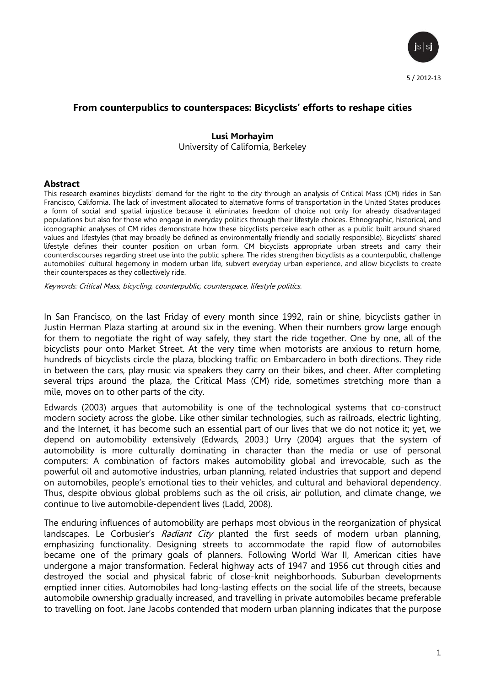

# **From counterpublics to counterspaces: Bicyclists' efforts to reshape cities**

## **Lusi Morhayim** University of California, Berkeley

#### **Abstract**

This research examines bicyclists' demand for the right to the city through an analysis of Critical Mass (CM) rides in San Francisco, California. The lack of investment allocated to alternative forms of transportation in the United States produces a form of social and spatial injustice because it eliminates freedom of choice not only for already disadvantaged populations but also for those who engage in everyday politics through their lifestyle choices. Ethnographic, historical, and iconographic analyses of CM rides demonstrate how these bicyclists perceive each other as a public built around shared values and lifestyles (that may broadly be defined as environmentally friendly and socially responsible). Bicyclists' shared lifestyle defines their counter position on urban form. CM bicyclists appropriate urban streets and carry their counterdiscourses regarding street use into the public sphere. The rides strengthen bicyclists as a counterpublic, challenge automobiles' cultural hegemony in modern urban life, subvert everyday urban experience, and allow bicyclists to create their counterspaces as they collectively ride.

Keywords: Critical Mass, bicycling, counterpublic, counterspace, lifestyle politics.

In San Francisco, on the last Friday of every month since 1992, rain or shine, bicyclists gather in Justin Herman Plaza starting at around six in the evening. When their numbers grow large enough for them to negotiate the right of way safely, they start the ride together. One by one, all of the bicyclists pour onto Market Street. At the very time when motorists are anxious to return home, hundreds of bicyclists circle the plaza, blocking traffic on Embarcadero in both directions. They ride in between the cars, play music via speakers they carry on their bikes, and cheer. After completing several trips around the plaza, the Critical Mass (CM) ride, sometimes stretching more than a mile, moves on to other parts of the city.

Edwards (2003) argues that automobility is one of the technological systems that co-construct modern society across the globe. Like other similar technologies, such as railroads, electric lighting, and the Internet, it has become such an essential part of our lives that we do not notice it; yet, we depend on automobility extensively (Edwards, 2003.) Urry (2004) argues that the system of automobility is more culturally dominating in character than the media or use of personal computers: A combination of factors makes automobility global and irrevocable, such as the powerful oil and automotive industries, urban planning, related industries that support and depend on automobiles, people's emotional ties to their vehicles, and cultural and behavioral dependency. Thus, despite obvious global problems such as the oil crisis, air pollution, and climate change, we continue to live automobile-dependent lives (Ladd, 2008).

The enduring influences of automobility are perhaps most obvious in the reorganization of physical landscapes. Le Corbusier's Radiant City planted the first seeds of modern urban planning, emphasizing functionality. Designing streets to accommodate the rapid flow of automobiles became one of the primary goals of planners. Following World War II, American cities have undergone a major transformation. Federal highway acts of 1947 and 1956 cut through cities and destroyed the social and physical fabric of close-knit neighborhoods. Suburban developments emptied inner cities. Automobiles had long-lasting effects on the social life of the streets, because automobile ownership gradually increased, and travelling in private automobiles became preferable to travelling on foot. Jane Jacobs contended that modern urban planning indicates that the purpose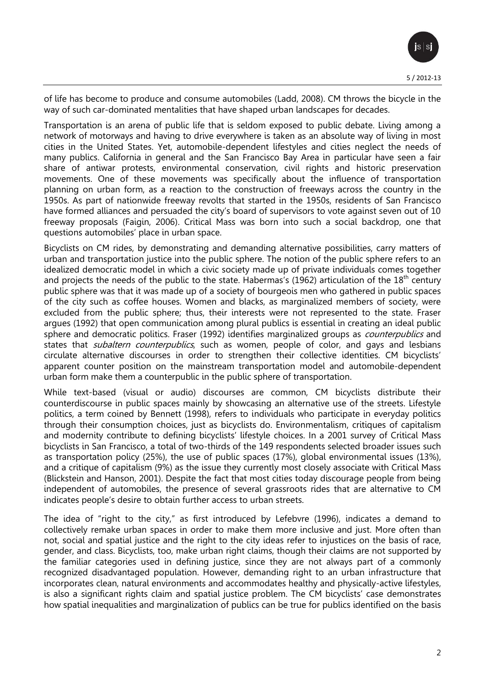of life has become to produce and consume automobiles (Ladd, 2008). CM throws the bicycle in the way of such car-dominated mentalities that have shaped urban landscapes for decades.

Transportation is an arena of public life that is seldom exposed to public debate. Living among a network of motorways and having to drive everywhere is taken as an absolute way of living in most cities in the United States. Yet, automobile-dependent lifestyles and cities neglect the needs of many publics. California in general and the San Francisco Bay Area in particular have seen a fair share of antiwar protests, environmental conservation, civil rights and historic preservation movements. One of these movements was specifically about the influence of transportation planning on urban form, as a reaction to the construction of freeways across the country in the 1950s. As part of nationwide freeway revolts that started in the 1950s, residents of San Francisco have formed alliances and persuaded the city's board of supervisors to vote against seven out of 10 freeway proposals (Faigin, 2006). Critical Mass was born into such a social backdrop, one that questions automobiles' place in urban space.

Bicyclists on CM rides, by demonstrating and demanding alternative possibilities, carry matters of urban and transportation justice into the public sphere. The notion of the public sphere refers to an idealized democratic model in which a civic society made up of private individuals comes together and projects the needs of the public to the state. Habermas's (1962) articulation of the  $18<sup>th</sup>$  century public sphere was that it was made up of a society of bourgeois men who gathered in public spaces of the city such as coffee houses. Women and blacks, as marginalized members of society, were excluded from the public sphere; thus, their interests were not represented to the state. Fraser argues (1992) that open communication among plural publics is essential in creating an ideal public sphere and democratic politics. Fraser (1992) identifies marginalized groups as *counterpublics* and states that *subaltern counterpublics*, such as women, people of color, and gays and lesbians circulate alternative discourses in order to strengthen their collective identities. CM bicyclists' apparent counter position on the mainstream transportation model and automobile-dependent urban form make them a counterpublic in the public sphere of transportation.

While text-based (visual or audio) discourses are common, CM bicyclists distribute their counterdiscourse in public spaces mainly by showcasing an alternative use of the streets. Lifestyle politics, a term coined by Bennett (1998), refers to individuals who participate in everyday politics through their consumption choices, just as bicyclists do. Environmentalism, critiques of capitalism and modernity contribute to defining bicyclists' lifestyle choices. In a 2001 survey of Critical Mass bicyclists in San Francisco, a total of two-thirds of the 149 respondents selected broader issues such as transportation policy (25%), the use of public spaces (17%), global environmental issues (13%), and a critique of capitalism (9%) as the issue they currently most closely associate with Critical Mass (Blickstein and Hanson, 2001). Despite the fact that most cities today discourage people from being independent of automobiles, the presence of several grassroots rides that are alternative to CM indicates people's desire to obtain further access to urban streets.

The idea of "right to the city," as first introduced by Lefebvre (1996), indicates a demand to collectively remake urban spaces in order to make them more inclusive and just. More often than not, social and spatial justice and the right to the city ideas refer to injustices on the basis of race, gender, and class. Bicyclists, too, make urban right claims, though their claims are not supported by the familiar categories used in defining justice, since they are not always part of a commonly recognized disadvantaged population. However, demanding right to an urban infrastructure that incorporates clean, natural environments and accommodates healthy and physically-active lifestyles, is also a significant rights claim and spatial justice problem. The CM bicyclists' case demonstrates how spatial inequalities and marginalization of publics can be true for publics identified on the basis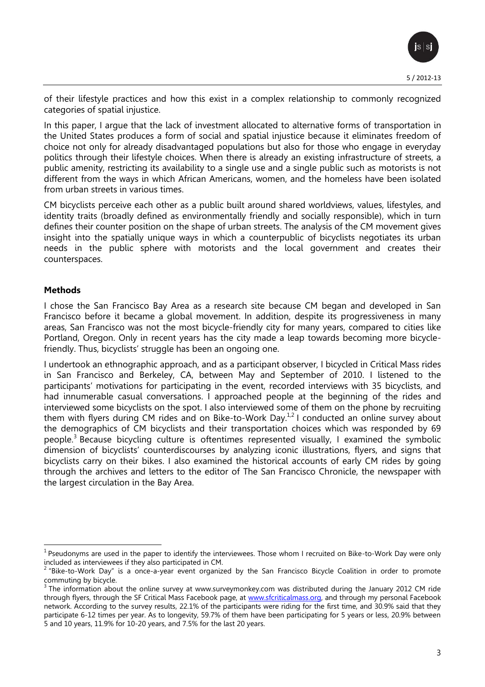of their lifestyle practices and how this exist in a complex relationship to commonly recognized categories of spatial injustice.

In this paper, I argue that the lack of investment allocated to alternative forms of transportation in the United States produces a form of social and spatial injustice because it eliminates freedom of choice not only for already disadvantaged populations but also for those who engage in everyday politics through their lifestyle choices. When there is already an existing infrastructure of streets, a public amenity, restricting its availability to a single use and a single public such as motorists is not different from the ways in which African Americans, women, and the homeless have been isolated from urban streets in various times.

CM bicyclists perceive each other as a public built around shared worldviews, values, lifestyles, and identity traits (broadly defined as environmentally friendly and socially responsible), which in turn defines their counter position on the shape of urban streets. The analysis of the CM movement gives insight into the spatially unique ways in which a counterpublic of bicyclists negotiates its urban needs in the public sphere with motorists and the local government and creates their counterspaces.

## **Methods**

I chose the San Francisco Bay Area as a research site because CM began and developed in San Francisco before it became a global movement. In addition, despite its progressiveness in many areas, San Francisco was not the most bicycle-friendly city for many years, compared to cities like Portland, Oregon. Only in recent years has the city made a leap towards becoming more bicyclefriendly. Thus, bicyclists' struggle has been an ongoing one.

I undertook an ethnographic approach, and as a participant observer, I bicycled in Critical Mass rides in San Francisco and Berkeley, CA, between May and September of 2010. I listened to the participants' motivations for participating in the event, recorded interviews with 35 bicyclists, and had innumerable casual conversations. I approached people at the beginning of the rides and interviewed some bicyclists on the spot. I also interviewed some of them on the phone by recruiting them with flyers during CM rides and on Bike-to-Work Day. $^{1,2}$  I conducted an online survey about the demographics of CM bicyclists and their transportation choices which was responded by 69 people.<sup>3</sup> Because bicycling culture is oftentimes represented visually, I examined the symbolic dimension of bicyclists' counterdiscourses by analyzing iconic illustrations, flyers, and signs that bicyclists carry on their bikes. I also examined the historical accounts of early CM rides by going through the archives and letters to the editor of The San Francisco Chronicle, the newspaper with the largest circulation in the Bay Area.

 $\overline{\phantom{a}}$  $^1$  Pseudonyms are used in the paper to identify the interviewees. Those whom I recruited on Bike-to-Work Day were only

included as interviewees if they also participated in CM.<br><sup>2</sup> "Bike-to-Work Day" is a once-a-year event organized by the San Francisco Bicycle Coalition in order to promote commuting by bicycle.

 $3$  The information about the online survey at www.surveymonkey.com was distributed during the January 2012 CM ride through flyers, through the SF Critical Mass Facebook page, at [www.sfcriticalmass.org,](http://www.sfcriticalmass.org/) and through my personal Facebook network. According to the survey results, 22.1% of the participants were riding for the first time, and 30.9% said that they participate 6-12 times per year. As to longevity, 59.7% of them have been participating for 5 years or less, 20.9% between 5 and 10 years, 11.9% for 10-20 years, and 7.5% for the last 20 years.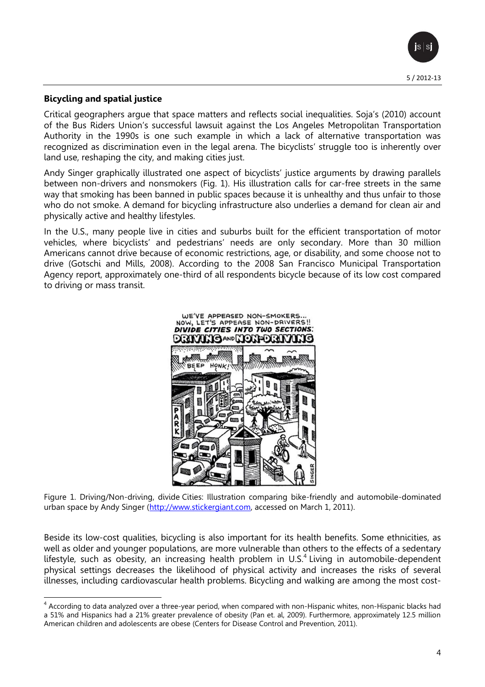

## **Bicycling and spatial justice**

Critical geographers argue that space matters and reflects social inequalities. Soja's (2010) account of the Bus Riders Union's successful lawsuit against the Los Angeles Metropolitan Transportation Authority in the 1990s is one such example in which a lack of alternative transportation was recognized as discrimination even in the legal arena. The bicyclists' struggle too is inherently over land use, reshaping the city, and making cities just.

Andy Singer graphically illustrated one aspect of bicyclists' justice arguments by drawing parallels between non-drivers and nonsmokers (Fig. 1). His illustration calls for car-free streets in the same way that smoking has been banned in public spaces because it is unhealthy and thus unfair to those who do not smoke. A demand for bicycling infrastructure also underlies a demand for clean air and physically active and healthy lifestyles.

In the U.S., many people live in cities and suburbs built for the efficient transportation of motor vehicles, where bicyclists' and pedestrians' needs are only secondary. More than 30 million Americans cannot drive because of economic restrictions, age, or disability, and some choose not to drive (Gotschi and Mills, 2008). According to the 2008 San Francisco Municipal Transportation Agency report, approximately one-third of all respondents bicycle because of its low cost compared to driving or mass transit.



Figure 1. Driving/Non-driving, divide Cities: Illustration comparing bike-friendly and automobile-dominated urban space by Andy Singer [\(http://www.stickergiant.com,](http://www.stickergiant.com/) accessed on March 1, 2011).

Beside its low-cost qualities, bicycling is also important for its health benefits. Some ethnicities, as well as older and younger populations, are more vulnerable than others to the effects of a sedentary lifestyle, such as obesity, an increasing health problem in U.S.<sup>4</sup> Living in automobile-dependent physical settings decreases the likelihood of physical activity and increases the risks of several illnesses, including cardiovascular health problems. Bicycling and walking are among the most cost-

an according to data analyzed over a three-year period, when compared with non-Hispanic whites, non-Hispanic blacks had analyzed over a three-year period, when compared with non-Hispanic whites, non-Hispanic blacks had a 51% and Hispanics had a 21% greater prevalence of obesity (Pan et. al, 2009). Furthermore, approximately 12.5 million American children and adolescents are obese (Centers for Disease Control and Prevention, 2011).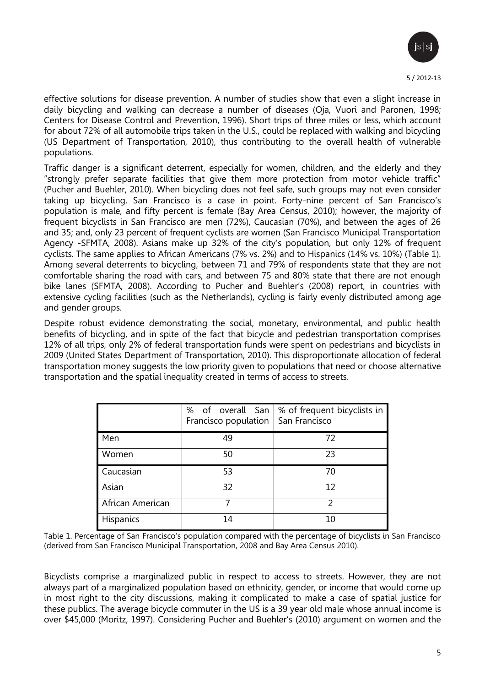

effective solutions for disease prevention. A number of studies show that even a slight increase in daily bicycling and walking can decrease a number of diseases (Oja, Vuori and Paronen, 1998; Centers for Disease Control and Prevention, 1996). Short trips of three miles or less, which account for about 72% of all automobile trips taken in the U.S., could be replaced with walking and bicycling (US Department of Transportation, 2010), thus contributing to the overall health of vulnerable populations.

Traffic danger is a significant deterrent, especially for women, children, and the elderly and they "strongly prefer separate facilities that give them more protection from motor vehicle traffic" (Pucher and Buehler, 2010). When bicycling does not feel safe, such groups may not even consider taking up bicycling. San Francisco is a case in point. Forty-nine percent of San Francisco's population is male, and fifty percent is female (Bay Area Census, 2010); however, the majority of frequent bicyclists in San Francisco are men (72%), Caucasian (70%), and between the ages of 26 and 35; and, only 23 percent of frequent cyclists are women (San Francisco Municipal Transportation Agency -SFMTA, 2008). Asians make up 32% of the city's population, but only 12% of frequent cyclists. The same applies to African Americans (7% vs. 2%) and to Hispanics (14% vs. 10%) (Table 1). Among several deterrents to bicycling, between 71 and 79% of respondents state that they are not comfortable sharing the road with cars, and between 75 and 80% state that there are not enough bike lanes (SFMTA, 2008). According to Pucher and Buehler's (2008) report, in countries with extensive cycling facilities (such as the Netherlands), cycling is fairly evenly distributed among age and gender groups.

Despite robust evidence demonstrating the social, monetary, environmental, and public health benefits of bicycling, and in spite of the fact that bicycle and pedestrian transportation comprises 12% of all trips, only 2% of federal transportation funds were spent on pedestrians and bicyclists in 2009 (United States Department of Transportation, 2010). This disproportionate allocation of federal transportation money suggests the low priority given to populations that need or choose alternative transportation and the spatial inequality created in terms of access to streets.

|                  | Francisco population | % of overall San   % of frequent bicyclists in<br>San Francisco |
|------------------|----------------------|-----------------------------------------------------------------|
| Men              | 49                   | 72                                                              |
| Women            | 50                   | 23                                                              |
| Caucasian        | 53                   | 70                                                              |
| Asian            | 32                   | 12                                                              |
| African American |                      |                                                                 |
| Hispanics        | 14                   | 10                                                              |

Table 1. Percentage of San Francisco's population compared with the percentage of bicyclists in San Francisco (derived from San Francisco Municipal Transportation, 2008 and Bay Area Census 2010).

Bicyclists comprise a marginalized public in respect to access to streets. However, they are not always part of a marginalized population based on ethnicity, gender, or income that would come up in most right to the city discussions, making it complicated to make a case of spatial justice for these publics. The average bicycle commuter in the US is a 39 year old male whose annual income is over \$45,000 (Moritz, 1997). Considering Pucher and Buehler's (2010) argument on women and the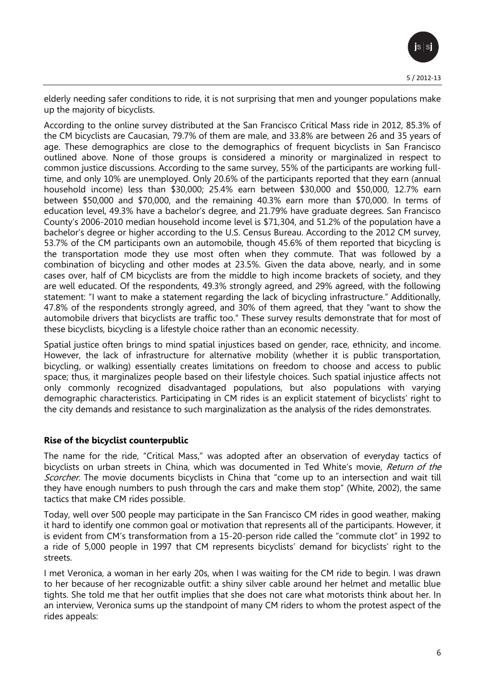elderly needing safer conditions to ride, it is not surprising that men and younger populations make up the majority of bicyclists.

According to the online survey distributed at the San Francisco Critical Mass ride in 2012, 85.3% of the CM bicyclists are Caucasian, 79.7% of them are male, and 33.8% are between 26 and 35 years of age. These demographics are close to the demographics of frequent bicyclists in San Francisco outlined above. None of those groups is considered a minority or marginalized in respect to common justice discussions. According to the same survey, 55% of the participants are working fulltime, and only 10% are unemployed. Only 20.6% of the participants reported that they earn (annual household income) less than \$30,000; 25.4% earn between \$30,000 and \$50,000, 12.7% earn between \$50,000 and \$70,000, and the remaining 40.3% earn more than \$70,000. In terms of education level, 49.3% have a bachelor's degree, and 21.79% have graduate degrees. San Francisco County's 2006-2010 median household income level is \$71,304, and 51.2% of the population have a bachelor's degree or higher according to the U.S. Census Bureau. According to the 2012 CM survey, 53.7% of the CM participants own an automobile, though 45.6% of them reported that bicycling is the transportation mode they use most often when they commute. That was followed by a combination of bicycling and other modes at 23.5%. Given the data above, nearly, and in some cases over, half of CM bicyclists are from the middle to high income brackets of society, and they are well educated. Of the respondents, 49.3% strongly agreed, and 29% agreed, with the following statement: "I want to make a statement regarding the lack of bicycling infrastructure." Additionally, 47.8% of the respondents strongly agreed, and 30% of them agreed, that they "want to show the automobile drivers that bicyclists are traffic too." These survey results demonstrate that for most of these bicyclists, bicycling is a lifestyle choice rather than an economic necessity.

Spatial justice often brings to mind spatial injustices based on gender, race, ethnicity, and income. However, the lack of infrastructure for alternative mobility (whether it is public transportation, bicycling, or walking) essentially creates limitations on freedom to choose and access to public space; thus, it marginalizes people based on their lifestyle choices. Such spatial injustice affects not only commonly recognized disadvantaged populations, but also populations with varying demographic characteristics. Participating in CM rides is an explicit statement of bicyclists' right to the city demands and resistance to such marginalization as the analysis of the rides demonstrates.

# **Rise of the bicyclist counterpublic**

The name for the ride, "Critical Mass," was adopted after an observation of everyday tactics of bicyclists on urban streets in China, which was documented in Ted White's movie, Return of the Scorcher. The movie documents bicyclists in China that "come up to an intersection and wait till they have enough numbers to push through the cars and make them stop" (White, 2002), the same tactics that make CM rides possible.

Today, well over 500 people may participate in the San Francisco CM rides in good weather, making it hard to identify one common goal or motivation that represents all of the participants. However, it is evident from CM's transformation from a 15-20-person ride called the "commute clot" in 1992 to a ride of 5,000 people in 1997 that CM represents bicyclists' demand for bicyclists' right to the streets.

I met Veronica, a woman in her early 20s, when I was waiting for the CM ride to begin. I was drawn to her because of her recognizable outfit: a shiny silver cable around her helmet and metallic blue tights. She told me that her outfit implies that she does not care what motorists think about her. In an interview, Veronica sums up the standpoint of many CM riders to whom the protest aspect of the rides appeals: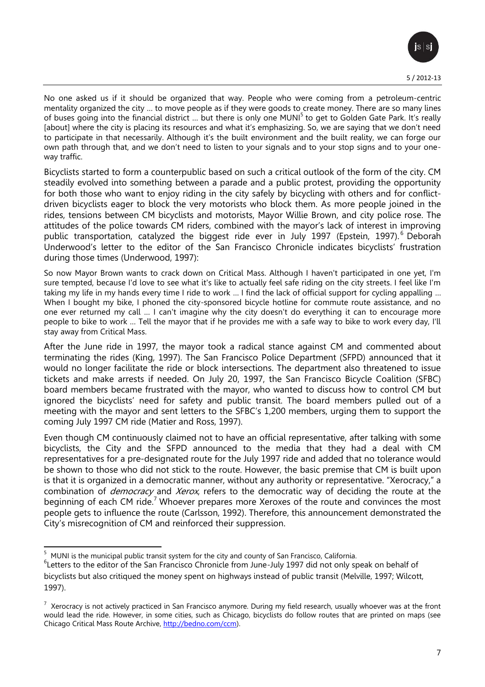

No one asked us if it should be organized that way. People who were coming from a petroleum-centric mentality organized the city … to move people as if they were goods to create money. There are so many lines of buses going into the financial district ... but there is only one MUNI<sup>5</sup> to get to Golden Gate Park. It's really [about] where the city is placing its resources and what it's emphasizing. So, we are saying that we don't need to participate in that necessarily. Although it's the built environment and the built reality, we can forge our own path through that, and we don't need to listen to your signals and to your stop signs and to your oneway traffic.

Bicyclists started to form a counterpublic based on such a critical outlook of the form of the city. CM steadily evolved into something between a parade and a public protest, providing the opportunity for both those who want to enjoy riding in the city safely by bicycling with others and for conflictdriven bicyclists eager to block the very motorists who block them. As more people joined in the rides, tensions between CM bicyclists and motorists, Mayor Willie Brown, and city police rose. The attitudes of the police towards CM riders, combined with the mayor's lack of interest in improving public transportation, catalyzed the biggest ride ever in July 1997 (Epstein, 1997).<sup>6</sup> Deborah Underwood's letter to the editor of the San Francisco Chronicle indicates bicyclists' frustration during those times (Underwood, 1997):

So now Mayor Brown wants to crack down on Critical Mass. Although I haven't participated in one yet, I'm sure tempted, because I'd love to see what it's like to actually feel safe riding on the city streets. I feel like I'm taking my life in my hands every time I ride to work … I find the lack of official support for cycling appalling … When I bought my bike, I phoned the city-sponsored bicycle hotline for commute route assistance, and no one ever returned my call … I can't imagine why the city doesn't do everything it can to encourage more people to bike to work … Tell the mayor that if he provides me with a safe way to bike to work every day, I'll stay away from Critical Mass.

After the June ride in 1997, the mayor took a radical stance against CM and commented about terminating the rides (King, 1997). The San Francisco Police Department (SFPD) announced that it would no longer facilitate the ride or block intersections. The department also threatened to issue tickets and make arrests if needed. On July 20, 1997, the San Francisco Bicycle Coalition (SFBC) board members became frustrated with the mayor, who wanted to discuss how to control CM but ignored the bicyclists' need for safety and public transit. The board members pulled out of a meeting with the mayor and sent letters to the SFBC's 1,200 members, urging them to support the coming July 1997 CM ride (Matier and Ross, 1997).

Even though CM continuously claimed not to have an official representative, after talking with some bicyclists, the City and the SFPD announced to the media that they had a deal with CM representatives for a pre-designated route for the July 1997 ride and added that no tolerance would be shown to those who did not stick to the route. However, the basic premise that CM is built upon is that it is organized in a democratic manner, without any authority or representative. "Xerocracy," a combination of *democracy* and *Xerox*, refers to the democratic way of deciding the route at the beginning of each CM ride.<sup>7</sup> Whoever prepares more Xeroxes of the route and convinces the most people gets to influence the route (Carlsson, 1992). Therefore, this announcement demonstrated the City's misrecognition of CM and reinforced their suppression.

 $\overline{a}$  $5$  MUNI is the municipal [public transit](http://en.wikipedia.org/wiki/Public_transit) system for the [city and county](http://en.wikipedia.org/wiki/Consolidated_city-county) of [San Francisco,](http://en.wikipedia.org/wiki/San_Francisco) [California.](http://en.wikipedia.org/wiki/California)

<sup>&</sup>lt;sup>6</sup>Letters to the editor of the San Francisco Chronicle from June-July 1997 did not only speak on behalf of bicyclists but also critiqued the money spent on highways instead of public transit (Melville, 1997; Wilcott, 1997).

 $^7$  Xerocracy is not actively practiced in San Francisco anymore. During my field research, usually whoever was at the front would lead the ride. However, in some cities, such as Chicago, bicyclists do follow routes that are printed on maps (see Chicago Critical Mass Route Archive, [http://bedno.com/ccm\)](http://bedno.com/ccm).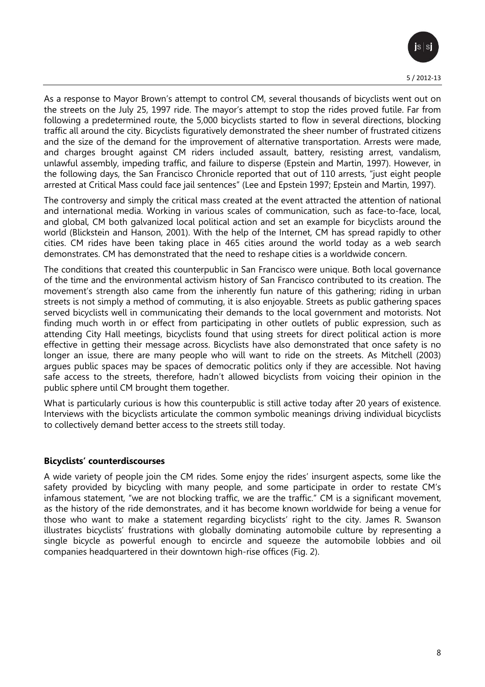

As a response to Mayor Brown's attempt to control CM, several thousands of bicyclists went out on the streets on the July 25, 1997 ride. The mayor's attempt to stop the rides proved futile. Far from following a predetermined route, the 5,000 bicyclists started to flow in several directions, blocking traffic all around the city. Bicyclists figuratively demonstrated the sheer number of frustrated citizens and the size of the demand for the improvement of alternative transportation. Arrests were made, and charges brought against CM riders included assault, battery, resisting arrest, vandalism, unlawful assembly, impeding traffic, and failure to disperse (Epstein and Martin, 1997). However, in the following days, the San Francisco Chronicle reported that out of 110 arrests, "just eight people arrested at Critical Mass could face jail sentences" (Lee and Epstein 1997; Epstein and Martin, 1997).

The controversy and simply the critical mass created at the event attracted the attention of national and international media. Working in various scales of communication, such as face-to-face, local, and global, CM both galvanized local political action and set an example for bicyclists around the world (Blickstein and Hanson, 2001). With the help of the Internet, CM has spread rapidly to other cities. CM rides have been taking place in 465 cities around the world today as a web search demonstrates. CM has demonstrated that the need to reshape cities is a worldwide concern.

The conditions that created this counterpublic in San Francisco were unique. Both local governance of the time and the environmental activism history of San Francisco contributed to its creation. The movement's strength also came from the inherently fun nature of this gathering; riding in urban streets is not simply a method of commuting, it is also enjoyable. Streets as public gathering spaces served bicyclists well in communicating their demands to the local government and motorists. Not finding much worth in or effect from participating in other outlets of public expression, such as attending City Hall meetings, bicyclists found that using streets for direct political action is more effective in getting their message across. Bicyclists have also demonstrated that once safety is no longer an issue, there are many people who will want to ride on the streets. As Mitchell (2003) argues public spaces may be spaces of democratic politics only if they are accessible. Not having safe access to the streets, therefore, hadn't allowed bicyclists from voicing their opinion in the public sphere until CM brought them together.

What is particularly curious is how this counterpublic is still active today after 20 years of existence. Interviews with the bicyclists articulate the common symbolic meanings driving individual bicyclists to collectively demand better access to the streets still today.

## **Bicyclists' counterdiscourses**

A wide variety of people join the CM rides. Some enjoy the rides' insurgent aspects, some like the safety provided by bicycling with many people, and some participate in order to restate CM's infamous statement, "we are not blocking traffic, we are the traffic." CM is a significant movement, as the history of the ride demonstrates, and it has become known worldwide for being a venue for those who want to make a statement regarding bicyclists' right to the city. James R. Swanson illustrates bicyclists' frustrations with globally dominating automobile culture by representing a single bicycle as powerful enough to encircle and squeeze the automobile lobbies and oil companies headquartered in their downtown high-rise offices (Fig. 2).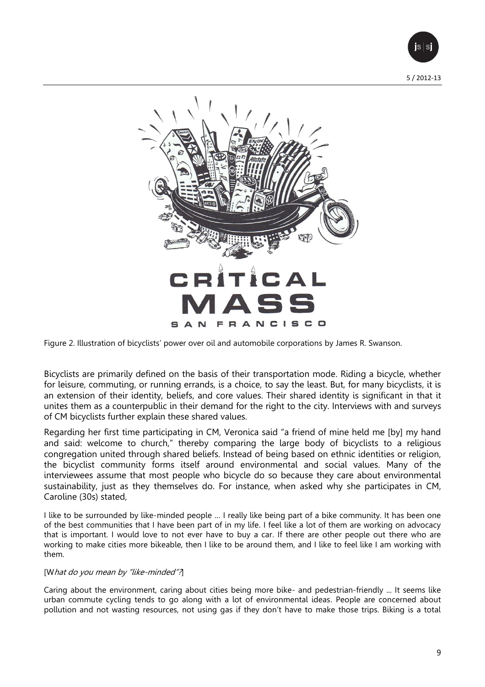



Figure 2. Illustration of bicyclists' power over oil and automobile corporations by James R. Swanson.

Bicyclists are primarily defined on the basis of their transportation mode. Riding a bicycle, whether for leisure, commuting, or running errands, is a choice, to say the least. But, for many bicyclists, it is an extension of their identity, beliefs, and core values. Their shared identity is significant in that it unites them as a counterpublic in their demand for the right to the city. Interviews with and surveys of CM bicyclists further explain these shared values.

Regarding her first time participating in CM, Veronica said "a friend of mine held me [by] my hand and said: welcome to church," thereby comparing the large body of bicyclists to a religious congregation united through shared beliefs. Instead of being based on ethnic identities or religion, the bicyclist community forms itself around environmental and social values. Many of the interviewees assume that most people who bicycle do so because they care about environmental sustainability, just as they themselves do. For instance, when asked why she participates in CM, Caroline (30s) stated,

I like to be surrounded by like-minded people … I really like being part of a bike community. It has been one of the best communities that I have been part of in my life. I feel like a lot of them are working on advocacy that is important. I would love to not ever have to buy a car. If there are other people out there who are working to make cities more bikeable, then I like to be around them, and I like to feel like I am working with them.

#### [What do you mean by "like-minded"?]

Caring about the environment, caring about cities being more bike- and pedestrian-friendly ... It seems like urban commute cycling tends to go along with a lot of environmental ideas. People are concerned about pollution and not wasting resources, not using gas if they don't have to make those trips. Biking is a total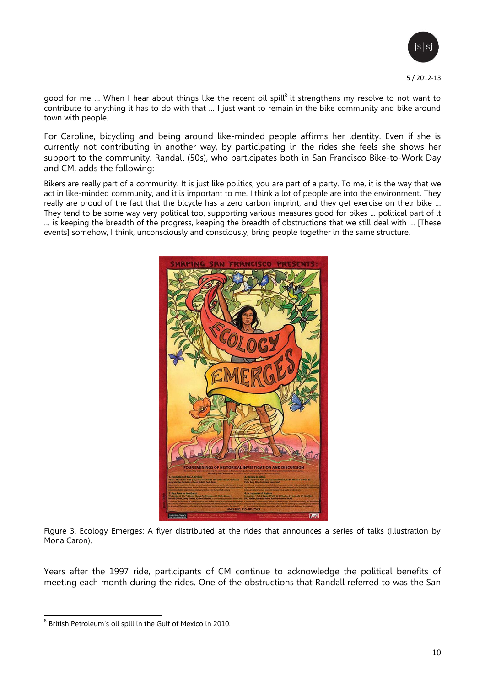5 / 2012-13

good for me ... When I hear about things like the recent oil spill $^8$  it strengthens my resolve to not want to contribute to anything it has to do with that … I just want to remain in the bike community and bike around town with people.

For Caroline, bicycling and being around like-minded people affirms her identity. Even if she is currently not contributing in another way, by participating in the rides she feels she shows her support to the community. Randall (50s), who participates both in San Francisco Bike-to-Work Day and CM, adds the following:

Bikers are really part of a community. It is just like politics, you are part of a party. To me, it is the way that we act in like-minded community, and it is important to me. I think a lot of people are into the environment. They really are proud of the fact that the bicycle has a zero carbon imprint, and they get exercise on their bike … They tend to be some way very political too, supporting various measures good for bikes ... political part of it … is keeping the breadth of the progress, keeping the breadth of obstructions that we still deal with … [These events] somehow, I think, unconsciously and consciously, bring people together in the same structure.



Figure 3. Ecology Emerges: A flyer distributed at the rides that announces a series of talks (Illustration by Mona Caron).

Years after the 1997 ride, participants of CM continue to acknowledge the political benefits of meeting each month during the rides. One of the obstructions that Randall referred to was the San

 $\overline{\phantom{a}}$  $^8$  British Petroleum's oil spill in the Gulf of Mexico in 2010.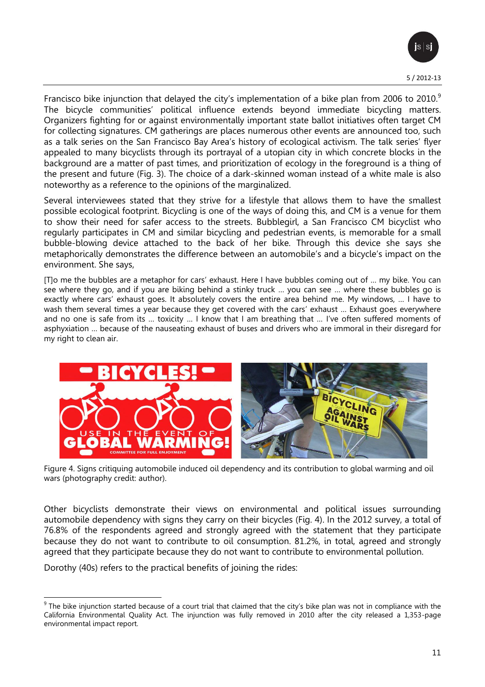

Francisco bike injunction that delayed the city's implementation of a bike plan from 2006 to 2010.<sup>9</sup> The bicycle communities' political influence extends beyond immediate bicycling matters. Organizers fighting for or against environmentally important state ballot initiatives often target CM for collecting signatures. CM gatherings are places numerous other events are announced too, such as a talk series on the San Francisco Bay Area's history of ecological activism. The talk series' flyer appealed to many bicyclists through its portrayal of a utopian city in which concrete blocks in the background are a matter of past times, and prioritization of ecology in the foreground is a thing of the present and future (Fig. 3). The choice of a dark-skinned woman instead of a white male is also noteworthy as a reference to the opinions of the marginalized.

Several interviewees stated that they strive for a lifestyle that allows them to have the smallest possible ecological footprint. Bicycling is one of the ways of doing this, and CM is a venue for them to show their need for safer access to the streets. Bubblegirl, a San Francisco CM bicyclist who regularly participates in CM and similar bicycling and pedestrian events, is memorable for a small bubble-blowing device attached to the back of her bike. Through this device she says she metaphorically demonstrates the difference between an automobile's and a bicycle's impact on the environment. She says,

[T]o me the bubbles are a metaphor for cars' exhaust. Here I have bubbles coming out of … my bike. You can see where they go, and if you are biking behind a stinky truck … you can see … where these bubbles go is exactly where cars' exhaust goes. It absolutely covers the entire area behind me. My windows, … I have to wash them several times a year because they get covered with the cars' exhaust … Exhaust goes everywhere and no one is safe from its … toxicity … I know that I am breathing that … I've often suffered moments of asphyxiation … because of the nauseating exhaust of buses and drivers who are immoral in their disregard for my right to clean air.



Figure 4. Signs critiquing automobile induced oil dependency and its contribution to global warming and oil wars (photography credit: author).

Other bicyclists demonstrate their views on environmental and political issues surrounding automobile dependency with signs they carry on their bicycles (Fig. 4). In the 2012 survey, a total of 76.8% of the respondents agreed and strongly agreed with the statement that they participate because they do not want to contribute to oil consumption. 81.2%, in total, agreed and strongly agreed that they participate because they do not want to contribute to environmental pollution.

Dorothy (40s) refers to the practical benefits of joining the rides:

The bike injunction started because of a court trial that claimed that the city's bike plan was not in compliance with the <sup>9</sup> The bike injunction started because of a court trial that claimed that the city's bike plan was California Environmental Quality Act. The injunction was fully removed in 2010 after the city released a 1,353-page environmental impact report.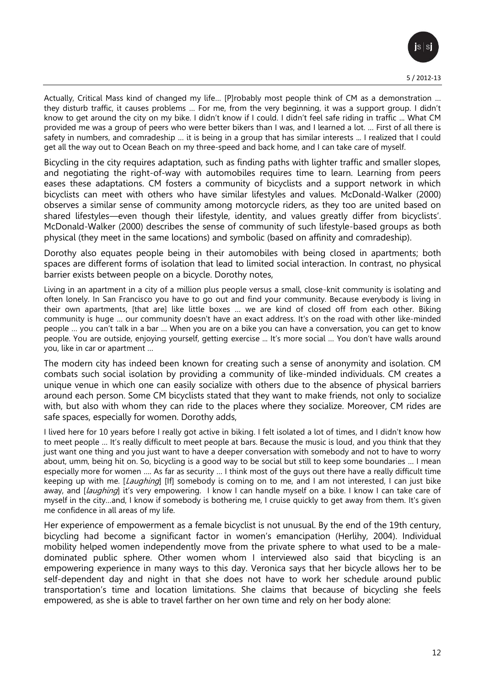

Actually, Critical Mass kind of changed my life… [P]robably most people think of CM as a demonstration … they disturb traffic, it causes problems … For me, from the very beginning, it was a support group. I didn't know to get around the city on my bike. I didn't know if I could. I didn't feel safe riding in traffic ... What CM provided me was a group of peers who were better bikers than I was, and I learned a lot. … First of all there is safety in numbers, and comradeship … it is being in a group that has similar interests ... I realized that I could get all the way out to Ocean Beach on my three-speed and back home, and I can take care of myself.

Bicycling in the city requires adaptation, such as finding paths with lighter traffic and smaller slopes, and negotiating the right-of-way with automobiles requires time to learn. Learning from peers eases these adaptations. CM fosters a community of bicyclists and a support network in which bicyclists can meet with others who have similar lifestyles and values. McDonald-Walker (2000) observes a similar sense of community among motorcycle riders, as they too are united based on shared lifestyles—even though their lifestyle, identity, and values greatly differ from bicyclists'. McDonald-Walker (2000) describes the sense of community of such lifestyle-based groups as both physical (they meet in the same locations) and symbolic (based on affinity and comradeship).

Dorothy also equates people being in their automobiles with being closed in apartments; both spaces are different forms of isolation that lead to limited social interaction. In contrast, no physical barrier exists between people on a bicycle. Dorothy notes,

Living in an apartment in a city of a million plus people versus a small, close-knit community is isolating and often lonely. In San Francisco you have to go out and find your community. Because everybody is living in their own apartments, [that are] like little boxes … we are kind of closed off from each other. Biking community is huge … our community doesn't have an exact address. It's on the road with other like-minded people … you can't talk in a bar … When you are on a bike you can have a conversation, you can get to know people. You are outside, enjoying yourself, getting exercise ... It's more social … You don't have walls around you, like in car or apartment …

The modern city has indeed been known for creating such a sense of anonymity and isolation. CM combats such social isolation by providing a community of like-minded individuals. CM creates a unique venue in which one can easily socialize with others due to the absence of physical barriers around each person. Some CM bicyclists stated that they want to make friends, not only to socialize with, but also with whom they can ride to the places where they socialize. Moreover, CM rides are safe spaces, especially for women. Dorothy adds,

I lived here for 10 years before I really got active in biking. I felt isolated a lot of times, and I didn't know how to meet people … It's really difficult to meet people at bars. Because the music is loud, and you think that they just want one thing and you just want to have a deeper conversation with somebody and not to have to worry about, umm, being hit on. So, bicycling is a good way to be social but still to keep some boundaries … I mean especially more for women …. As far as security … I think most of the guys out there have a really difficult time keeping up with me. [Laughing] [If] somebody is coming on to me, and I am not interested, I can just bike away, and [laughing] it's very empowering. I know I can handle myself on a bike. I know I can take care of myself in the city…and, I know if somebody is bothering me, I cruise quickly to get away from them. It's given me confidence in all areas of my life.

Her experience of empowerment as a female bicyclist is not unusual. By the end of the 19th century, bicycling had become a significant factor in women's emancipation (Herlihy, 2004). Individual mobility helped women independently move from the private sphere to what used to be a maledominated public sphere. Other women whom I interviewed also said that bicycling is an empowering experience in many ways to this day. Veronica says that her bicycle allows her to be self-dependent day and night in that she does not have to work her schedule around public transportation's time and location limitations. She claims that because of bicycling she feels empowered, as she is able to travel farther on her own time and rely on her body alone: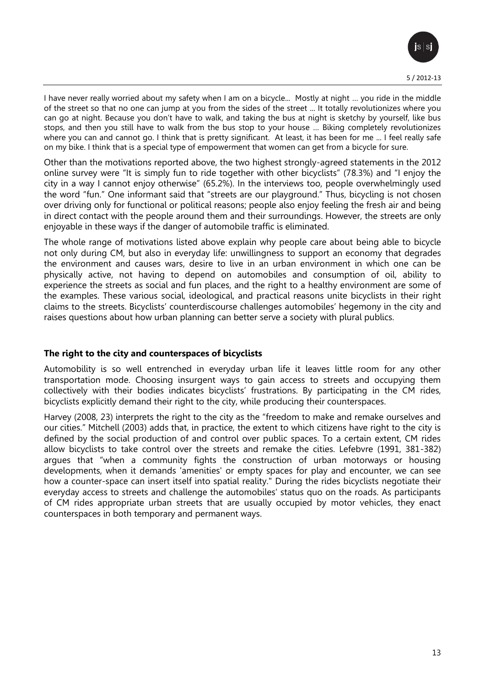

I have never really worried about my safety when I am on a bicycle... Mostly at night … you ride in the middle of the street so that no one can jump at you from the sides of the street ... It totally revolutionizes where you can go at night. Because you don't have to walk, and taking the bus at night is sketchy by yourself, like bus stops, and then you still have to walk from the bus stop to your house … Biking completely revolutionizes where you can and cannot go. I think that is pretty significant. At least, it has been for me ... I feel really safe on my bike. I think that is a special type of empowerment that women can get from a bicycle for sure.

Other than the motivations reported above, the two highest strongly-agreed statements in the 2012 online survey were "It is simply fun to ride together with other bicyclists" (78.3%) and "I enjoy the city in a way I cannot enjoy otherwise" (65.2%). In the interviews too, people overwhelmingly used the word "fun." One informant said that "streets are our playground." Thus, bicycling is not chosen over driving only for functional or political reasons; people also enjoy feeling the fresh air and being in direct contact with the people around them and their surroundings. However, the streets are only enjoyable in these ways if the danger of automobile traffic is eliminated.

The whole range of motivations listed above explain why people care about being able to bicycle not only during CM, but also in everyday life: unwillingness to support an economy that degrades the environment and causes wars, desire to live in an urban environment in which one can be physically active, not having to depend on automobiles and consumption of oil, ability to experience the streets as social and fun places, and the right to a healthy environment are some of the examples. These various social, ideological, and practical reasons unite bicyclists in their right claims to the streets. Bicyclists' counterdiscourse challenges automobiles' hegemony in the city and raises questions about how urban planning can better serve a society with plural publics.

## **The right to the city and counterspaces of bicyclists**

Automobility is so well entrenched in everyday urban life it leaves little room for any other transportation mode. Choosing insurgent ways to gain access to streets and occupying them collectively with their bodies indicates bicyclists' frustrations. By participating in the CM rides, bicyclists explicitly demand their right to the city, while producing their counterspaces.

Harvey (2008, 23) interprets the right to the city as the "freedom to make and remake ourselves and our cities." Mitchell (2003) adds that, in practice, the extent to which citizens have right to the city is defined by the social production of and control over public spaces. To a certain extent, CM rides allow bicyclists to take control over the streets and remake the cities. Lefebvre (1991, 381-382) argues that "when a community fights the construction of urban motorways or housing developments, when it demands 'amenities' or empty spaces for play and encounter, we can see how a counter-space can insert itself into spatial reality." During the rides bicyclists negotiate their everyday access to streets and challenge the automobiles' status quo on the roads. As participants of CM rides appropriate urban streets that are usually occupied by motor vehicles, they enact counterspaces in both temporary and permanent ways.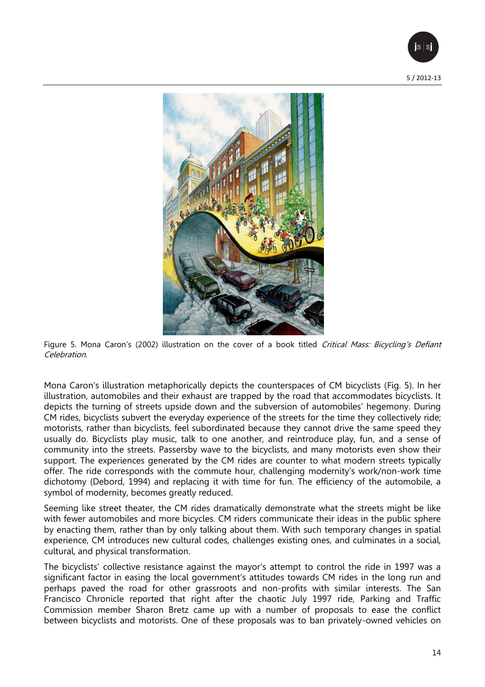



Figure 5. Mona Caron's (2002) illustration on the cover of a book titled Critical Mass: Bicycling's Defiant Celebration.

Mona Caron's illustration metaphorically depicts the counterspaces of CM bicyclists (Fig. 5). In her illustration, automobiles and their exhaust are trapped by the road that accommodates bicyclists. It depicts the turning of streets upside down and the subversion of automobiles' hegemony. During CM rides, bicyclists subvert the everyday experience of the streets for the time they collectively ride; motorists, rather than bicyclists, feel subordinated because they cannot drive the same speed they usually do. Bicyclists play music, talk to one another, and reintroduce play, fun, and a sense of community into the streets. Passersby wave to the bicyclists, and many motorists even show their support. The experiences generated by the CM rides are counter to what modern streets typically offer. The ride corresponds with the commute hour, challenging modernity's work/non-work time dichotomy (Debord, 1994) and replacing it with time for fun. The efficiency of the automobile, a symbol of modernity, becomes greatly reduced.

Seeming like street theater, the CM rides dramatically demonstrate what the streets might be like with fewer automobiles and more bicycles. CM riders communicate their ideas in the public sphere by enacting them, rather than by only talking about them. With such temporary changes in spatial experience, CM introduces new cultural codes, challenges existing ones, and culminates in a social, cultural, and physical transformation.

The bicyclists' collective resistance against the mayor's attempt to control the ride in 1997 was a significant factor in easing the local government's attitudes towards CM rides in the long run and perhaps paved the road for other grassroots and non-profits with similar interests. The San Francisco Chronicle reported that right after the chaotic July 1997 ride, Parking and Traffic Commission member Sharon Bretz came up with a number of proposals to ease the conflict between bicyclists and motorists. One of these proposals was to ban privately-owned vehicles on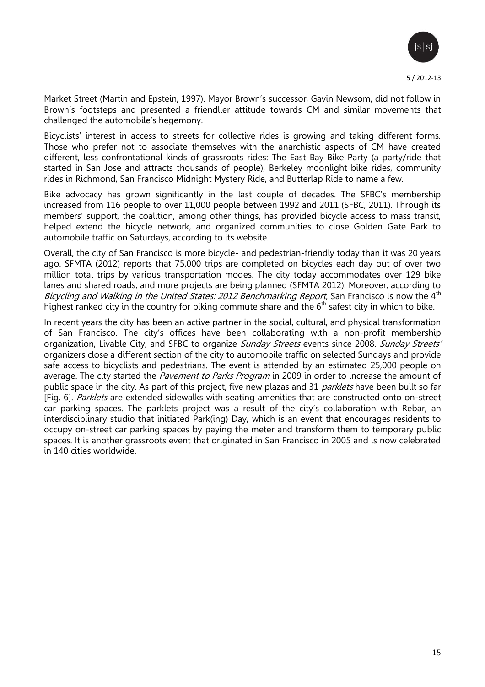

Market Street (Martin and Epstein, 1997). Mayor Brown's successor, Gavin Newsom, did not follow in Brown's footsteps and presented a friendlier attitude towards CM and similar movements that challenged the automobile's hegemony.

Bicyclists' interest in access to streets for collective rides is growing and taking different forms. Those who prefer not to associate themselves with the anarchistic aspects of CM have created different, less confrontational kinds of grassroots rides: The East Bay Bike Party (a party/ride that started in San Jose and attracts thousands of people), Berkeley moonlight bike rides, community rides in Richmond, San Francisco Midnight Mystery Ride, and Butterlap Ride to name a few.

Bike advocacy has grown significantly in the last couple of decades. The SFBC's membership increased from 116 people to over 11,000 people between 1992 and 2011 (SFBC, 2011). Through its members' support, the coalition, among other things, has provided bicycle access to mass transit, helped extend the bicycle network, and organized communities to close Golden Gate Park to automobile traffic on Saturdays, according to its website.

Overall, the city of San Francisco is more bicycle- and pedestrian-friendly today than it was 20 years ago. SFMTA (2012) reports that 75,000 trips are completed on bicycles each day out of over two million total trips by various transportation modes. The city today accommodates over 129 bike lanes and shared roads, and more projects are being planned (SFMTA 2012). Moreover, according to Bicycling and Walking in the United States: 2012 Benchmarking Report, San Francisco is now the  $4<sup>th</sup>$ highest ranked city in the country for biking commute share and the  $6<sup>th</sup>$  safest city in which to bike.

In recent years the city has been an active partner in the social, cultural, and physical transformation of San Francisco. The city's offices have been collaborating with a non-profit membership organization, Livable City, and SFBC to organize Sunday Streets events since 2008. Sunday Streets' organizers close a different section of the city to automobile traffic on selected Sundays and provide safe access to bicyclists and pedestrians. The event is attended by an estimated 25,000 people on average. The city started the Pavement to Parks Program in 2009 in order to increase the amount of public space in the city. As part of this project, five new plazas and 31 parklets have been built so far [Fig. 6]. Parklets are extended sidewalks with seating amenities that are constructed onto on-street car parking spaces. The parklets project was a result of the city's collaboration with Rebar, an interdisciplinary studio that initiated Park(ing) Day, which is an event that encourages residents to occupy on-street car parking spaces by paying the meter and transform them to temporary public spaces. It is another grassroots event that originated in San Francisco in 2005 and is now celebrated in 140 cities worldwide.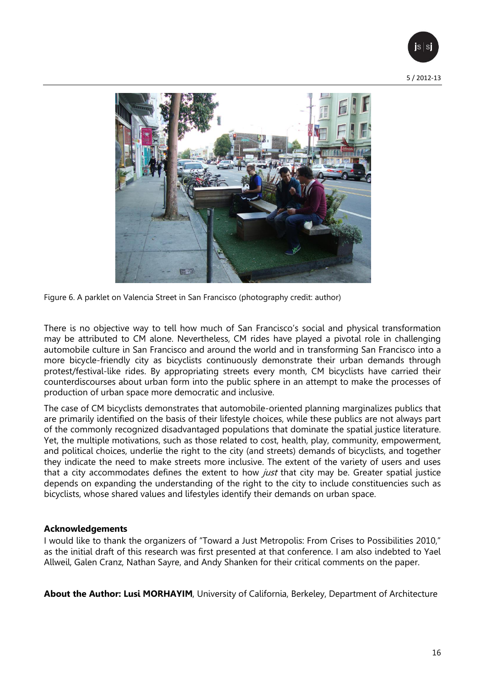



Figure 6. A parklet on Valencia Street in San Francisco (photography credit: author)

There is no objective way to tell how much of San Francisco's social and physical transformation may be attributed to CM alone. Nevertheless, CM rides have played a pivotal role in challenging automobile culture in San Francisco and around the world and in transforming San Francisco into a more bicycle-friendly city as bicyclists continuously demonstrate their urban demands through protest/festival-like rides. By appropriating streets every month, CM bicyclists have carried their counterdiscourses about urban form into the public sphere in an attempt to make the processes of production of urban space more democratic and inclusive.

The case of CM bicyclists demonstrates that automobile-oriented planning marginalizes publics that are primarily identified on the basis of their lifestyle choices, while these publics are not always part of the commonly recognized disadvantaged populations that dominate the spatial justice literature. Yet, the multiple motivations, such as those related to cost, health, play, community, empowerment, and political choices, underlie the right to the city (and streets) demands of bicyclists, and together they indicate the need to make streets more inclusive. The extent of the variety of users and uses that a city accommodates defines the extent to how *just* that city may be. Greater spatial justice depends on expanding the understanding of the right to the city to include constituencies such as bicyclists, whose shared values and lifestyles identify their demands on urban space.

# **Acknowledgements**

I would like to thank the organizers of "Toward a Just Metropolis: From Crises to Possibilities 2010," as the initial draft of this research was first presented at that conference. I am also indebted to Yael Allweil, Galen Cranz, Nathan Sayre, and Andy Shanken for their critical comments on the paper.

**About the Author: Lusi MORHAYIM**, University of California, Berkeley, Department of Architecture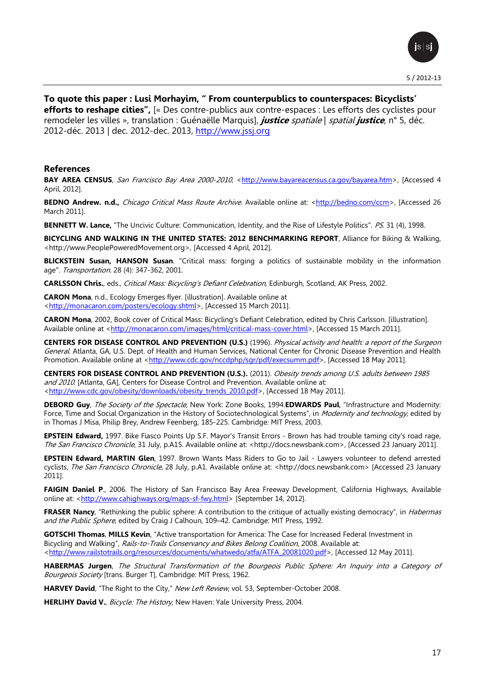

**To quote this paper : Lusi Morhayim, " From counterpublics to counterspaces: Bicyclists' efforts to reshape cities",** [« Des contre-publics aux contre-espaces : Les efforts des cyclistes pour remodeler les villes », translation : Guénaëlle Marquis], **justice** spatiale | spatial **justice**, n° 5, déc. 2012-déc. 2013 | dec. 2012-dec. 2013, [http://www.jssj.org](http://www.jssj.org/)

#### **References**

**BAY AREA CENSUS**, San Francisco Bay Area 2000-2010, [<http://www.bayareacensus.ca.gov/bayarea.htm>](http://www.bayareacensus.ca.gov/bayarea.htm), [Accessed 4 April, 2012].

**BEDNO Andrew. n.d.,** Chicago Critical Mass Route Archive. Available online at: [<http://bedno.com/ccm>](http://bedno.com/ccm), [Accessed 26 March 2011].

**BENNETT W. Lance,** "The Uncivic Culture: Communication, Identity, and the Rise of Lifestyle Politics". PS. 31 (4), 1998.

**BICYCLING AND WALKING IN THE UNITED STATES: 2012 BENCHMARKING REPORT**, Alliance for Biking & Walking, <http://www.PeoplePoweredMovement.org>, [Accessed 4 April, 2012].

**BLICKSTEIN Susan, HANSON Susan**. "Critical mass: forging a politics of sustainable mobility in the information age". Transportation. 28 (4): 347-362, 2001.

**CARLSSON Chris.**, eds., Critical Mass: Bicycling's Defiant Celebration, Edinburgh, Scotland, AK Press, 2002.

**CARON Mona**, n.d., Ecology Emerges flyer. [illustration]. Available online at [<http://monacaron.com/posters/ecology.shtml>](http://monacaron.com/posters/ecology.shtml), [Accessed 15 March 2011].

**CARON Mona**, 2002, Book cover of Critical Mass: Bicycling's Defiant Celebration, edited by Chris Carlsson. [illustration]. Available online at [<http://monacaron.com/images/html/critical-mass-cover.html>](http://monacaron.com/images/html/critical-mass-cover.html), [Accessed 15 March 2011].

**CENTERS FOR DISEASE CONTROL AND PREVENTION (U.S.)** (1996). Physical activity and health: a report of the Surgeon General. Atlanta, GA, U.S. Dept. of Health and Human Services, National Center for Chronic Disease Prevention and Health Promotion. Available online at [<http://www.cdc.gov/nccdphp/sgr/pdf/execsumm.pdf>](http://www.cdc.gov/nccdphp/sgr/pdf/execsumm.pdf), [Accessed 18 May 2011].

**CENTERS FOR DISEASE CONTROL AND PREVENTION (U.S.).** (2011). Obesity trends among U.S. adults between 1985 and 2010. [Atlanta, GA], Centers for Disease Control and Prevention. Available online at: [<http://www.cdc.gov/obesity/downloads/obesity\\_trends\\_2010.pdf>](http://www.cdc.gov/obesity/downloads/obesity_trends_2010.pdf), [Accessed 18 May 2011].

**DEBORD Guy**, The Society of the Spectacle, New York: Zone Books, 1994.**EDWARDS Paul**, "Infrastructure and Modernity: Force, Time and Social Organization in the History of Sociotechnological Systems", in Modernity and technology, edited by in Thomas J Misa, Philip Brey, Andrew Feenberg, 185-225. Cambridge: MIT Press, 2003.

**EPSTEIN Edward,** 1997. [Bike Fiasco Points Up S.F. Mayor's Transit Errors -](http://docs.newsbank.com/s/InfoWeb/aggdocs/AWNB/0EB4F7C50C04085F/0D0CB57AB53DF815?s_lang=en-US) Brown has had trouble taming city's road rage, The San Francisco Chronicle, 31 July, p.A15. Available online at: <http://docs.newsbank.com>, [Accessed 23 January 2011].

**EPSTEIN Edward, MARTIN Glen**, 1997. [Brown Wants Mass Riders to Go to Jail -](http://infoweb.newsbank.com/iw-search/we/InfoWeb?p_product=AWNB&p_theme=aggregated5&p_action=doc&p_docid=0EB4F7C5D2ABEAF4&p_docnum=1&p_queryname=33) Lawyers volunteer to defend arrested [cyclists,](http://infoweb.newsbank.com/iw-search/we/InfoWeb?p_product=AWNB&p_theme=aggregated5&p_action=doc&p_docid=0EB4F7C5D2ABEAF4&p_docnum=1&p_queryname=33) The San Francisco Chronicle, 28 July, p.A1. Available online at: <http://docs.newsbank.com> [Accessed 23 January 2011].

**FAIGIN Daniel P**., 2006. The History of San Francisco Bay Area Freeway Development, California Highways, Available online at: [<http://www.cahighways.org/maps-sf-fwy.html>](http://www.cahighways.org/maps-sf-fwy.html) [September 14, 2012].

**FRASER Nancy**, "Rethinking the public sphere: A contribution to the critique of actually existing democracy", in *Habermas* and the Public Sphere, edited by Craig J Calhoun, 109-42. Cambridge: MIT Press, 1992.

**GOTSCHI Thomas**, **MILLS Kevin**, "[Active transportation for America: The Case for Increased Federal](http://www.railstotrails.org/resources/documents/whatwedo/atfa/ATFA_20081020.pdf) Investment in [Bicycling and Walking](http://www.railstotrails.org/resources/documents/whatwedo/atfa/ATFA_20081020.pdf)", Rails-to-Trails Conservancy and Bikes Belong Coalition, 2008. Available at: [<http://www.railstotrails.org/resources/documents/whatwedo/atfa/ATFA\\_20081020.pdf>](http://www.railstotrails.org/resources/documents/whatwedo/atfa/ATFA_20081020.pdf), [Accessed 12 May 2011].

**HABERMAS Jurgen**, The Structural Transformation of the Bourgeois Public Sphere: An Inquiry into a Category of Bourgeois Society [trans. Burger T], Cambridge: MIT Press, 1962.

**HARVEY David**, "[The Right to the City](http://abahlali.org/files/Harvery_right_to_the_city.pdf)," New Left Review, vol. 53, September-October 2008.

HERLIHY David V., Bicycle: The History, New Haven: Yale University Press, 2004.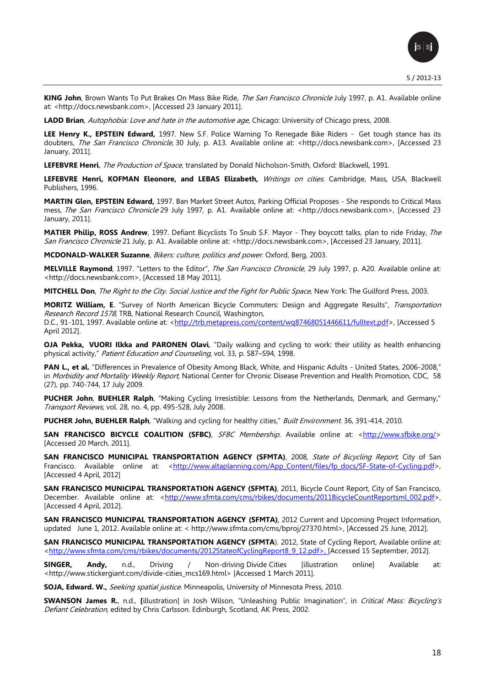**KING John**, [Brown Wants To Put Brakes On Mass Bike Ride,](http://docs.newsbank.com/s/InfoWeb/aggdocs/AWNB/0EB4F7BF6F779D26/0D0CB57AB53DF815?s_lang=en-US) The San Francisco Chronicle July 1997, p. A1. Available online at: <http://docs.newsbank.com>, [Accessed 23 January 2011].

LADD Brian, Autophobia: Love and hate in the automotive age, Chicago: University of Chicago press, 2008.

**LEE Henry K., EPSTEIN Edward,** 1997. New S.F. Police Warning To Renegade Bike Riders - [Get tough stance has its](http://docs.newsbank.com/s/InfoWeb/aggdocs/AWNB/0EB4F7C5964EDC81/0D0CB57AB53DF815?s_lang=en-US)  [doubters,](http://docs.newsbank.com/s/InfoWeb/aggdocs/AWNB/0EB4F7C5964EDC81/0D0CB57AB53DF815?s_lang=en-US) The San Francisco Chronicle, 30 July, p. A13. Available online at: <http://docs.newsbank.com>, [Accessed 23 January, 2011].

**LEFEBVRE Henri**, The Production of Space, translated by Donald Nicholson-Smith, Oxford: Blackwell, 1991.

**LEFEBVRE Henri, KOFMAN Eleonore, and LEBAS Elizabeth,** Writings on cities. Cambridge, Mass, USA, Blackwell Publishers, 1996.

**MARTIN Glen, EPSTEIN Edward,** 1997. [Ban Market Street Autos, Parking Official Proposes -](http://docs.newsbank.com/s/InfoWeb/aggdocs/AWNB/0EB4F7C531DFCE21/0D0CB57AB53DF815?s_lang=en-US) She responds to Critical Mass [mess,](http://docs.newsbank.com/s/InfoWeb/aggdocs/AWNB/0EB4F7C531DFCE21/0D0CB57AB53DF815?s_lang=en-US) The San Francisco Chronicle 29 July 1997, p. A1. Available online at: <http://docs.newsbank.com>, [Accessed 23 January, 2011].

**MATIER Philip, ROSS Andrew**, 1997. [Defiant Bicyclists To Snub S.F. Mayor -](http://docs.newsbank.com/s/InfoWeb/aggdocs/AWNB/0EB4F7C39A09A9E2/0D0CB57AB53DF815?s_lang=en-US) They boycott talks, plan to ride Friday, The San Francisco Chronicle 21 July, p. A1. Available online at: <http://docs.newsbank.com>, [Accessed 23 January, 2011].

**MCDONALD-WALKER Suzanne**, Bikers: culture, politics and power. Oxford, Berg, 2003.

**MELVILLE Raymond**, 1997. "Letters to the Editor", The San Francisco Chronicle, 29 July 1997, p. A20. Available online at: <http://docs.newsbank.com>, [Accessed 18 May 2011].

**MITCHELL Don**, The Right to the City. Social Justice and the Fight for Public Space, New York: The Guilford Press, 2003.

**MORITZ William, E**. "Survey of North American Bicycle Commuters: Design and Aggregate Results", Transportation Research Record 1578, TRB, National Research Council, Washington, D.C., 91-101, 1997. Available online at: < http://trb.metapress.com/content/wq87468051446611/fulltext.pdf>, [Accessed 5 April 2012].

**OJA Pekka, VUORI Ilkka and PARONEN Olavi**, "Daily walking and cycling to work: their utility as health enhancing physical activity," Patient Education and Counseling, vol. 33, p. S87–S94, 1998.

**PAN L., et al.** "Differences in Prevalence of Obesity Among Black, White, and Hispanic Adults - United States, 2006-2008," in Morbidity and Mortality Weekly Report, National Center for Chronic Disease Prevention and Health Promotion, CDC, 58 (27), pp. 740-744, 17 July 2009.

**PUCHER John**, **BUEHLER Ralph**, "Making Cycling Irresistible: Lessons from the Netherlands, Denmark, and Germany," Transport Reviews, vol. 28, no. 4, pp. 495-528, July 2008.

**PUCHER John, BUEHLER Ralph**, "Walking and cycling for healthy cities," Built Environment. 36, 391-414, 2010.

**SAN FRANCISCO BICYCLE COALITION (SFBC)**, SFBC Membership. Available online at: [<http://www.sfbike.org/>](http://www.sfbike.org/) [Accessed 20 March, 2011].

**SAN FRANCISCO MUNICIPAL TRANSPORTATION AGENCY (SFMTA)**, 2008, State of Bicycling Report, City of San Francisco. Available online at: [<http://www.altaplanning.com/App\\_Content/files/fp\\_docs/SF-State-of-Cycling.pdf>](http://www.altaplanning.com/App_Content/files/fp_docs/SF-State-of-Cycling.pdf), [Accessed 4 April, 2012]

**SAN FRANCISCO MUNICIPAL TRANSPORTATION AGENCY (SFMTA)**, 2011, Bicycle Count Report, City of San Francisco, December. Available online at: [<http://www.sfmta.com/cms/rbikes/documents/2011BicycleCountReportsml\\_002.pdf>](http://www.sfmta.com/cms/rbikes/documents/2011BicycleCountReportsml_002.pdf), [Accessed 4 April, 2012].

**SAN FRANCISCO MUNICIPAL TRANSPORTATION AGENCY (SFMTA)**, 2012 Current and Upcoming Project Information, updated June 1, 2012. Available online at: < [http://www.sfmta.com/cms/bproj/27370.html>](http://www.sfmta.com/cms/bproj/27370.html), [Accessed 25 June, 2012].

**SAN FRANCISCO MUNICIPAL TRANSPORTATION AGENCY (SFMTA**). 2012, State of Cycling Report, Available online at: [<http://www.sfmta.com/cms/rbikes/documents/2012StateofCyclingReport8\\_9\\_12.pdf>](http://www.sfmta.com/cms/rbikes/documents/2012StateofCyclingReport8_9_12.pdf), [Accessed 15 September, 2012].

**SINGER, Andy,** n.d., Driving / Non-driving Divide Cities [illustration online] Available at: [<http://www.stickergiant.com/divide-cities\\_mcs169.html>](http://www.stickergiant.com/divide-cities_mcs169.html) [Accessed 1 March 2011].

**SOJA, Edward. W.,** Seeking spatial justice. Minneapolis, University of Minnesota Press, 2010.

**SWANSON James R.**, n.d., **[**illustration] in Josh Wilson, "Unleashing Public Imagination", in Critical Mass: Bicycling's Defiant Celebration, edited by Chris Carlsson. Edinburgh, Scotland, AK Press, 2002.